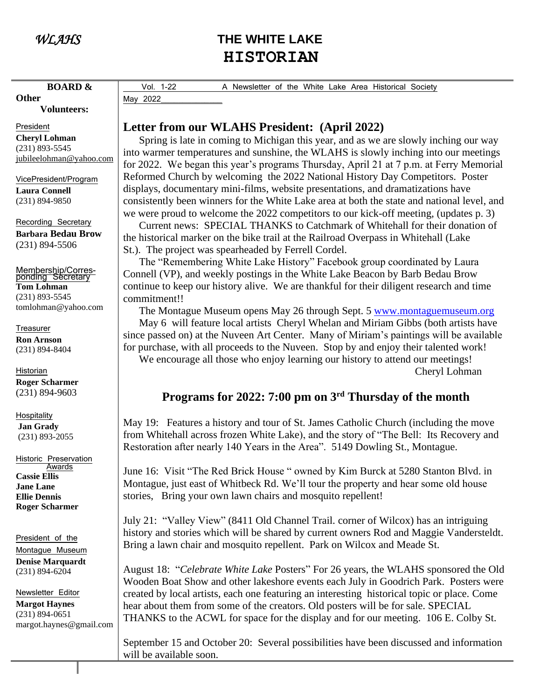**Other**

# *WLAHS* **THE WHITE LAKE** **HISTORIAN**

Vol. 1-22 A Newsletter of the White Lake Area Historical Society May 2022

 **Volunteers:**

 **BOARD &** 

President **Cheryl Lohman** (231) 893-5545 [jubileelohman@yahoo.com](mailto:jubileelohman@yahoo.com)

VicePresident/Program **Laura Connell** (231) 894-9850

Recording Secretary **Barbara Bedau Brow** (231) 894-5506

Membership/Corres-ponding Secretary **Tom Lohman** (231) 893-5545 tomlohman@yahoo.com

**Treasurer** 

**Ron Arnson** (231) 894-8404

Historian **Roger Scharmer** (231) 894-9603

**Hospitality Jan Grady** (231) 893-2055

Historic Preservation Awards **Cassie Ellis Jane Lane Ellie Dennis Roger Scharmer**

President of the Montague Museum **Denise Marquardt** (231) 894-6204

Newsletter Editor **Margot Haynes** (231) 894-0651 margot.haynes@gmail.com **Letter from our WLAHS President: (April 2022)**

 Spring is late in coming to Michigan this year, and as we are slowly inching our way into warmer temperatures and sunshine, the WLAHS is slowly inching into our meetings for 2022. We began this year's programs Thursday, April 21 at 7 p.m. at Ferry Memorial Reformed Church by welcoming the 2022 National History Day Competitors. Poster displays, documentary mini-films, website presentations, and dramatizations have consistently been winners for the White Lake area at both the state and national level, and we were proud to welcome the 2022 competitors to our kick-off meeting, (updates p. 3)

 Current news: SPECIAL THANKS to Catchmark of Whitehall for their donation of the historical marker on the bike trail at the Railroad Overpass in Whitehall (Lake St.). The project was spearheaded by Ferrell Cordel.

 The "Remembering White Lake History" Facebook group coordinated by Laura Connell (VP), and weekly postings in the White Lake Beacon by Barb Bedau Brow continue to keep our history alive. We are thankful for their diligent research and time commitment!!

The Montague Museum opens May 26 through Sept. 5 [www.montaguemuseum.org](http://www.montaguemuseum.org/)

 May 6 will feature local artists Cheryl Whelan and Miriam Gibbs (both artists have since passed on) at the Nuveen Art Center. Many of Miriam's paintings will be available for purchase, with all proceeds to the Nuveen. Stop by and enjoy their talented work! We encourage all those who enjoy learning our history to attend our meetings!

Cheryl Lohman

# **Programs for 2022: 7:00 pm on 3rd Thursday of the month**

May 19: Features a history and tour of St. James Catholic Church (including the move from Whitehall across frozen White Lake), and the story of "The Bell: Its Recovery and Restoration after nearly 140 Years in the Area". 5149 Dowling St., Montague.

June 16: Visit "The Red Brick House " owned by Kim Burck at 5280 Stanton Blvd. in Montague, just east of Whitbeck Rd. We'll tour the property and hear some old house stories, Bring your own lawn chairs and mosquito repellent!

July 21: "Valley View" (8411 Old Channel Trail. corner of Wilcox) has an intriguing history and stories which will be shared by current owners Rod and Maggie Vandersteldt. Bring a lawn chair and mosquito repellent. Park on Wilcox and Meade St.

August 18: "*Celebrate White Lake* Posters" For 26 years, the WLAHS sponsored the Old Wooden Boat Show and other lakeshore events each July in Goodrich Park. Posters were created by local artists, each one featuring an interesting historical topic or place. Come hear about them from some of the creators. Old posters will be for sale. SPECIAL THANKS to the ACWL for space for the display and for our meeting. 106 E. Colby St.

September 15 and October 20: Several possibilities have been discussed and information will be available soon.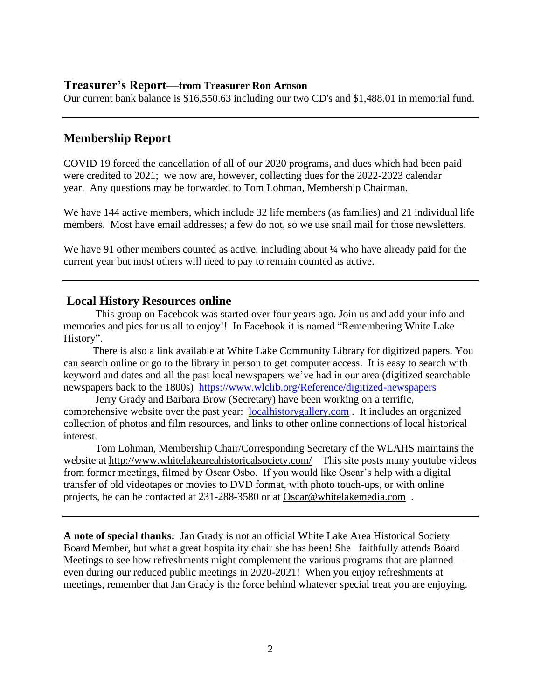#### **Treasurer's Report—from Treasurer Ron Arnson**

Our current bank balance is \$16,550.63 including our two CD's and \$1,488.01 in memorial fund.

# **Membership Report**

COVID 19 forced the cancellation of all of our 2020 programs, and dues which had been paid were credited to 2021; we now are, however, collecting dues for the 2022-2023 calendar year. Any questions may be forwarded to Tom Lohman, Membership Chairman.

We have 144 active members, which include 32 life members (as families) and 21 individual life members. Most have email addresses; a few do not, so we use snail mail for those newsletters.

We have 91 other members counted as active, including about  $\frac{1}{4}$  who have already paid for the current year but most others will need to pay to remain counted as active.

## **Local History Resources online**

This group on Facebook was started over four years ago. Join us and add your info and memories and pics for us all to enjoy!! In Facebook it is named "Remembering White Lake History".

 There is also a link available at White Lake Community Library for digitized papers. You can search online or go to the library in person to get computer access. It is easy to search with keyword and dates and all the past local newspapers we've had in our area (digitized searchable newspapers back to the 1800s) <https://www.wlclib.org/Reference/digitized-newspapers>

Jerry Grady and Barbara Brow (Secretary) have been working on a terrific, comprehensive website over the past year: [localhistorygallery.com](http://localhistorygallery.com/) . It includes an organized collection of photos and film resources, and links to other online connections of local historical interest.

Tom Lohman, Membership Chair/Corresponding Secretary of the WLAHS maintains the website at<http://www.whitelakeareahistoricalsociety.com/>This site posts many youtube videos from former meetings, filmed by Oscar Osbo. If you would like Oscar's help with a digital transfer of old videotapes or movies to DVD format, with photo touch-ups, or with online projects, he can be contacted at 231-288-3580 or at [Oscar@whitelakemedia.com](mailto:Oscar@whitelakemedia.com) .

**A note of special thanks:** Jan Grady is not an official White Lake Area Historical Society Board Member, but what a great hospitality chair she has been! She faithfully attends Board Meetings to see how refreshments might complement the various programs that are planned even during our reduced public meetings in 2020-2021! When you enjoy refreshments at meetings, remember that Jan Grady is the force behind whatever special treat you are enjoying.